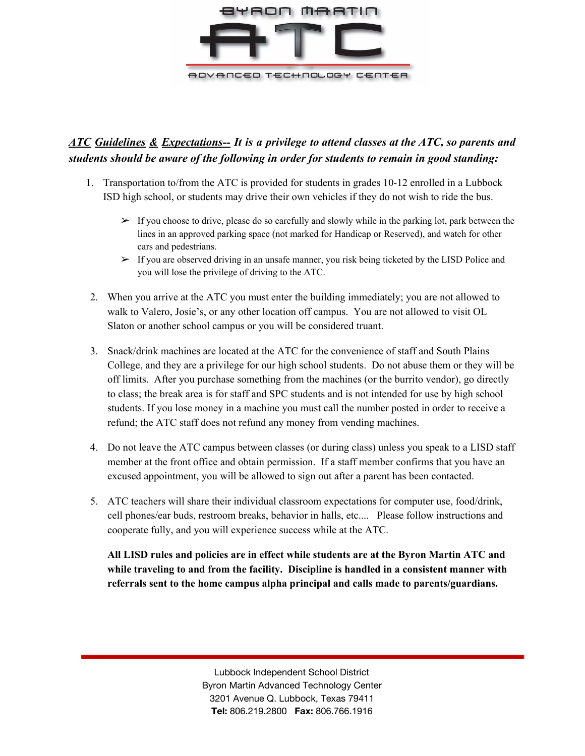

## *ATC Guidelines & Expectations-- It is a privilege to attend classes at the ATC, so parents and students should be aware of the following in order for students to remain in good standing:*

- 1. Transportation to/from the ATC is provided for students in grades 10-12 enrolled in a Lubbock ISD high school, or students may drive their own vehicles if they do not wish to ride the bus.
	- $\triangleright$  If you choose to drive, please do so carefully and slowly while in the parking lot, park between the lines in an approved parking space (not marked for Handicap or Reserved), and watch for other cars and pedestrians.
	- $\triangleright$  If you are observed driving in an unsafe manner, you risk being ticketed by the LISD Police and you will lose the privilege of driving to the ATC.
- 2. When you arrive at the ATC you must enter the building immediately; you are not allowed to walk to Valero, Josie's, or any other location off campus. You are not allowed to visit OL Slaton or another school campus or you will be considered truant.
- 3. Snack/drink machines are located at the ATC for the convenience of staff and South Plains College, and they are a privilege for our high school students. Do not abuse them or they will be off limits. After you purchase something from the machines (or the burrito vendor), go directly to class; the break area is for staff and SPC students and is not intended for use by high school students. If you lose money in a machine you must call the number posted in order to receive a refund; the ATC staff does not refund any money from vending machines.
- 4. Do not leave the ATC campus between classes (or during class) unless you speak to a LISD staff member at the front office and obtain permission. If a staff member confirms that you have an excused appointment, you will be allowed to sign out after a parent has been contacted.
- 5. ATC teachers will share their individual classroom expectations for computer use, food/drink, cell phones/ear buds, restroom breaks, behavior in halls, etc.... Please follow instructions and cooperate fully, and you will experience success while at the ATC.

**All LISD rules and policies are in effect while students are at the Byron Martin ATC and while traveling to and from the facility. Discipline is handled in a consistent manner with referrals sent to the home campus alpha principal and calls made to parents/guardians.**

> Lubbock Independent School District Byron Martin Advanced Technology Center 3201 Avenue Q. Lubbock, Texas 79411 **Tel:** 806.219.2800 **Fax:** 806.766.1916